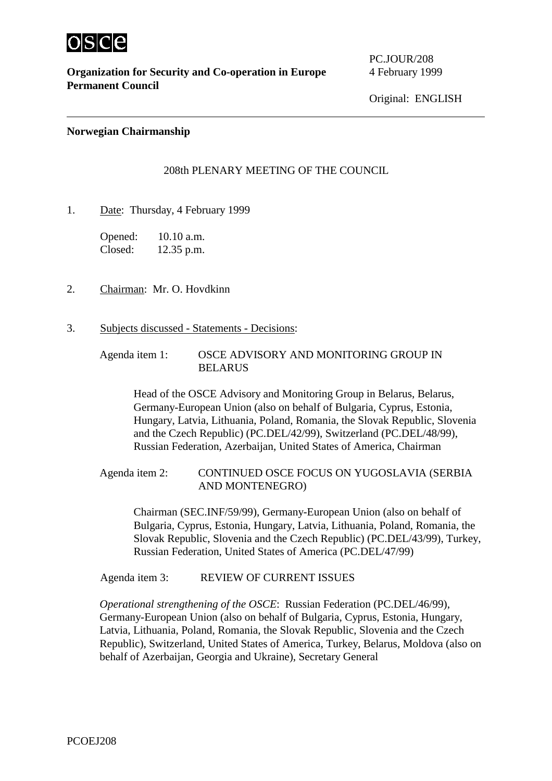

**Organization for Security and Co-operation in Europe** 4 February 1999 **Permanent Council**

PC.JOUR/208

Original: ENGLISH

## **Norwegian Chairmanship**

## 208th PLENARY MEETING OF THE COUNCIL

1. Date: Thursday, 4 February 1999

Opened: 10.10 a.m. Closed: 12.35 p.m.

- 2. Chairman: Mr. O. Hovdkinn
- 3. Subjects discussed Statements Decisions:
	- Agenda item 1: OSCE ADVISORY AND MONITORING GROUP IN BELARUS

Head of the OSCE Advisory and Monitoring Group in Belarus, Belarus, Germany-European Union (also on behalf of Bulgaria, Cyprus, Estonia, Hungary, Latvia, Lithuania, Poland, Romania, the Slovak Republic, Slovenia and the Czech Republic) (PC.DEL/42/99), Switzerland (PC.DEL/48/99), Russian Federation, Azerbaijan, United States of America, Chairman

Agenda item 2: CONTINUED OSCE FOCUS ON YUGOSLAVIA (SERBIA AND MONTENEGRO)

Chairman (SEC.INF/59/99), Germany-European Union (also on behalf of Bulgaria, Cyprus, Estonia, Hungary, Latvia, Lithuania, Poland, Romania, the Slovak Republic, Slovenia and the Czech Republic) (PC.DEL/43/99), Turkey, Russian Federation, United States of America (PC.DEL/47/99)

Agenda item 3: REVIEW OF CURRENT ISSUES

*Operational strengthening of the OSCE*: Russian Federation (PC.DEL/46/99), Germany-European Union (also on behalf of Bulgaria, Cyprus, Estonia, Hungary, Latvia, Lithuania, Poland, Romania, the Slovak Republic, Slovenia and the Czech Republic), Switzerland, United States of America, Turkey, Belarus, Moldova (also on behalf of Azerbaijan, Georgia and Ukraine), Secretary General